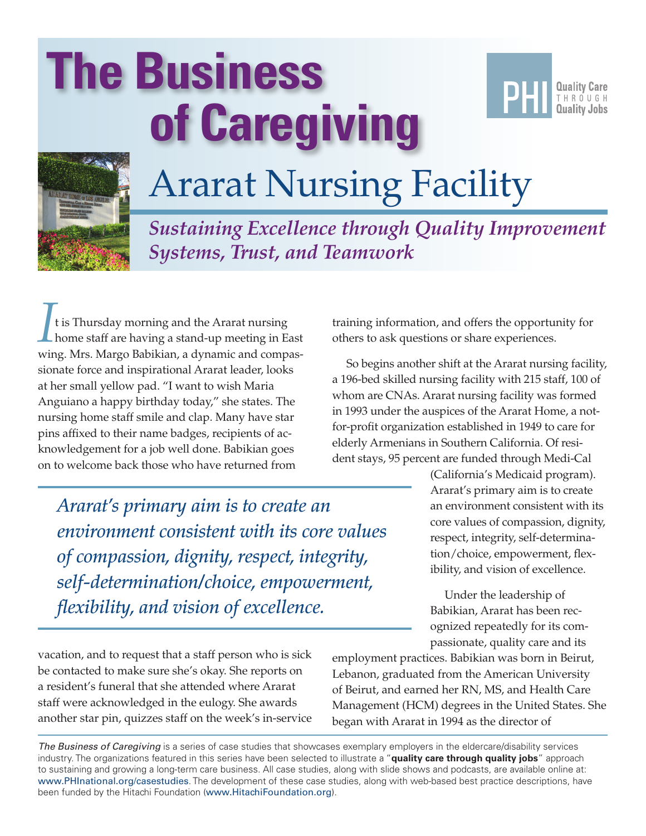# **The Business of Caregiving**





## Ararat Nursing Facility

*Sustaining Excellence through Quality Improvement Systems, Trust, and Teamwork*

It is Thursday morning and the Ararat nursing<br>home staff are having a stand-up meeting in Ea home staff are having a stand-up meeting in East wing. Mrs. Margo Babikian, a dynamic and compassionate force and inspirational Ararat leader, looks at her small yellow pad. "I want to wish Maria Anguiano a happy birthday today," she states. The nursing home staff smile and clap. Many have star pins affixed to their name badges, recipients of acknowledgement for a job well done. Babikian goes on to welcome back those who have returned from

*Ararat's primary aim is to create an environment consistent with its core values of compassion, dignity, respect, integrity, self-determination/choice, empowerment, flexibility, and vision of excellence.*

vacation, and to request that a staff person who is sick be contacted to make sure she's okay. She reports on a resident's funeral that she attended where Ararat staff were acknowledged in the eulogy. She awards another star pin, quizzes staff on the week's in-service training information, and offers the opportunity for others to ask questions or share experiences.

So begins another shift at the Ararat nursing facility, a 196-bed skilled nursing facility with 215 staff, 100 of whom are CNAs. Ararat nursing facility was formed in 1993 under the auspices of the Ararat Home, a notfor-profit organization established in 1949 to care for elderly Armenians in Southern California. Of resident stays, 95 percent are funded through Medi-Cal

> (California's Medicaid program). Ararat's primary aim is to create an environment consistent with its core values of compassion, dignity, respect, integrity, self-determination/choice, empowerment, flexibility, and vision of excellence.

Under the leadership of Babikian, Ararat has been recognized repeatedly for its compassionate, quality care and its

employment practices. Babikian was born in Beirut, Lebanon, graduated from the American University of Beirut, and earned her RN, MS, and Health Care Management (HCM) degrees in the United States. She began with Ararat in 1994 as the director of

*The Business of Caregiving* is a series of case studies that showcases exemplary employers in the eldercare/disability services industry. The organizations featured in this series have been selected to illustrate a "**quality care through quality jobs**" approach to sustaining and growing a long-term care business. All case studies, along with slide shows and podcasts, are available online at: www.PHInational.org/casestudies. The development of these case studies, along with web-based best practice descriptions, have been funded by the Hitachi Foundation (www.HitachiFoundation.org).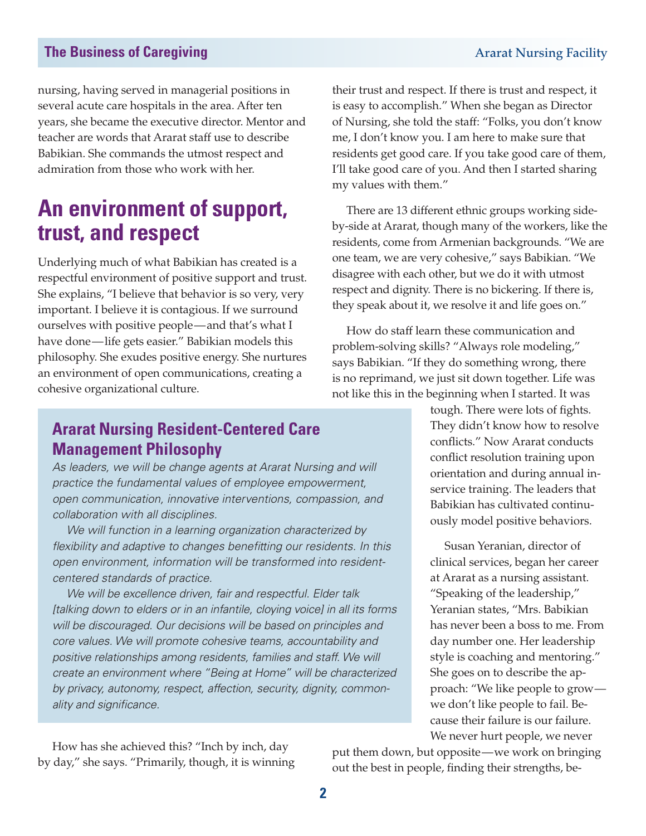nursing, having served in managerial positions in several acute care hospitals in the area. After ten years, she became the executive director. Mentor and teacher are words that Ararat staff use to describe Babikian. She commands the utmost respect and admiration from those who work with her.

## **An environment of support, trust, and respect**

Underlying much of what Babikian has created is a respectful environment of positive support and trust. She explains, "I believe that behavior is so very, very important. I believe it is contagious. If we surround ourselves with positive people—and that's what I have done—life gets easier." Babikian models this philosophy. She exudes positive energy. She nurtures an environment of open communications, creating a cohesive organizational culture.

their trust and respect. If there is trust and respect, it is easy to accomplish." When she began as Director of Nursing, she told the staff: "Folks, you don't know me, I don't know you. I am here to make sure that residents get good care. If you take good care of them, I'll take good care of you. And then I started sharing my values with them."

There are 13 different ethnic groups working sideby-side at Ararat, though many of the workers, like the residents, come from Armenian backgrounds. "We are one team, we are very cohesive," says Babikian. "We disagree with each other, but we do it with utmost respect and dignity. There is no bickering. If there is, they speak about it, we resolve it and life goes on."

How do staff learn these communication and problem-solving skills? "Always role modeling," says Babikian. "If they do something wrong, there is no reprimand, we just sit down together. Life was not like this in the beginning when I started. It was

#### **Ararat Nursing Resident-Centered Care Management Philosophy**

*As leaders, we will be change agents at Ararat Nursing and will practice the fundamental values of employee empowerment, open communication, innovative interventions, compassion, and collaboration with all disciplines.*

*We will function in a learning organization characterized by flexibility and adaptive to changes benefitting our residents. In this open environment, information will be transformed into residentcentered standards of practice.*

*We will be excellence driven, fair and respectful. Elder talk [talking down to elders or in an infantile, cloying voice] in all its forms will be discouraged. Our decisions will be based on principles and core values. We will promote cohesive teams, accountability and positive relationships among residents, families and staff. We will create an environment where "Being at Home" will be characterized by privacy, autonomy, respect, affection, security, dignity, commonality and significance.*

How has she achieved this? "Inch by inch, day by day," she says. "Primarily, though, it is winning tough. There were lots of fights. They didn't know how to resolve conflicts." Now Ararat conducts conflict resolution training upon orientation and during annual inservice training. The leaders that Babikian has cultivated continuously model positive behaviors.

Susan Yeranian, director of clinical services, began her career at Ararat as a nursing assistant. "Speaking of the leadership," Yeranian states, "Mrs. Babikian has never been a boss to me. From day number one. Her leadership style is coaching and mentoring." She goes on to describe the approach: "We like people to grow we don't like people to fail. Because their failure is our failure. We never hurt people, we never

put them down, but opposite—we work on bringing out the best in people, finding their strengths, be-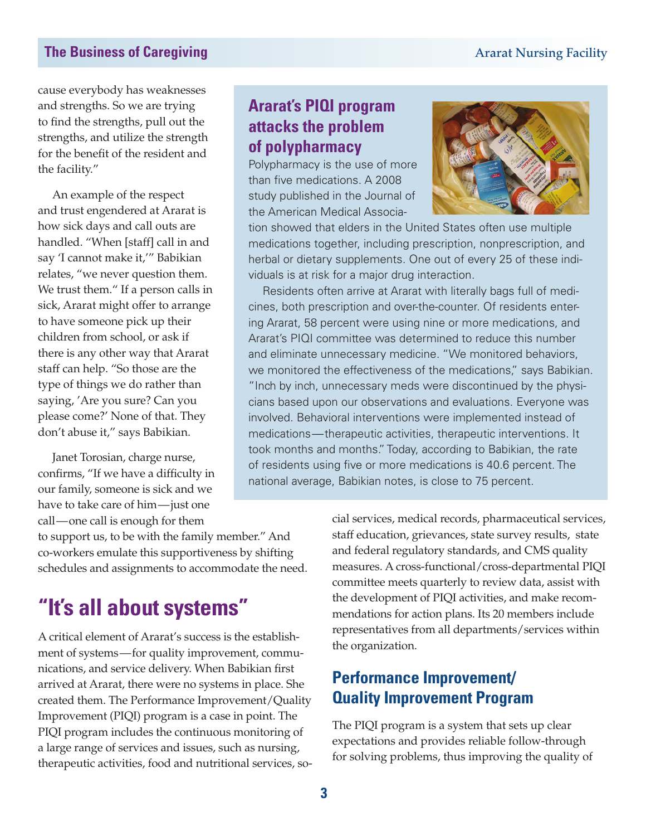cause everybody has weaknesses and strengths. So we are trying to find the strengths, pull out the strengths, and utilize the strength for the benefit of the resident and the facility."

An example of the respect and trust engendered at Ararat is how sick days and call outs are handled. "When [staff] call in and say 'I cannot make it,'" Babikian relates, "we never question them. We trust them." If a person calls in sick, Ararat might offer to arrange to have someone pick up their children from school, or ask if there is any other way that Ararat staff can help. "So those are the type of things we do rather than saying, 'Are you sure? Can you please come?' None of that. They don't abuse it," says Babikian.

Janet Torosian, charge nurse, confirms, "If we have a difficulty in our family, someone is sick and we have to take care of him—just one call—one call is enough for them

to support us, to be with the family member." And co-workers emulate this supportiveness by shifting schedules and assignments to accommodate the need.

### **"It's all about systems"**

A critical element of Ararat's success is the establishment of systems—for quality improvement, communications, and service delivery. When Babikian first arrived at Ararat, there were no systems in place. She created them. The Performance Improvement/Quality Improvement (PIQI) program is a case in point. The PIQI program includes the continuous monitoring of a large range of services and issues, such as nursing, therapeutic activities, food and nutritional services, so-

#### **Ararat's PIQI program attacks the problem of polypharmacy**

Polypharmacy is the use of more than five medications. A 2008 study published in the Journal of the American Medical Associa-



tion showed that elders in the United States often use multiple medications together, including prescription, nonprescription, and herbal or dietary supplements. One out of every 25 of these individuals is at risk for a major drug interaction.

Residents often arrive at Ararat with literally bags full of medicines, both prescription and over-the-counter. Of residents entering Ararat, 58 percent were using nine or more medications, and Ararat's PIQI committee was determined to reduce this number and eliminate unnecessary medicine. "We monitored behaviors, we monitored the effectiveness of the medications," says Babikian. "Inch by inch, unnecessary meds were discontinued by the physicians based upon our observations and evaluations. Everyone was involved. Behavioral interventions were implemented instead of medications—therapeutic activities, therapeutic interventions. It took months and months." Today, according to Babikian, the rate of residents using five or more medications is 40.6 percent. The national average, Babikian notes, is close to 75 percent.

> cial services, medical records, pharmaceutical services, staff education, grievances, state survey results, state and federal regulatory standards, and CMS quality measures. A cross-functional/cross-departmental PIQI committee meets quarterly to review data, assist with the development of PIQI activities, and make recommendations for action plans. Its 20 members include representatives from all departments/services within the organization.

#### **Performance Improvement/ Quality Improvement Program**

The PIQI program is a system that sets up clear expectations and provides reliable follow-through for solving problems, thus improving the quality of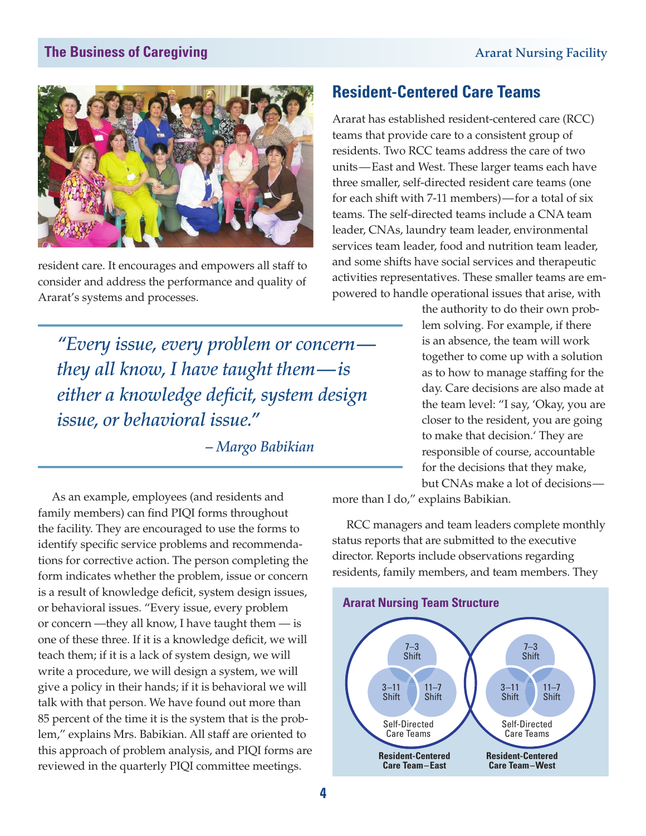

resident care. It encourages and empowers all staff to consider and address the performance and quality of Ararat's systems and processes.

*"Every issue, every problem or concern they all know, I have taught them—is either a knowledge deficit, system design issue, or behavioral issue."*

*– Margo Babikian*

**Resident-Centered Care Teams**

Ararat has established resident-centered care (RCC) teams that provide care to a consistent group of residents. Two RCC teams address the care of two units—East and West. These larger teams each have three smaller, self-directed resident care teams (one for each shift with 7-11 members)—for a total of six teams. The self-directed teams include a CNA team leader, CNAs, laundry team leader, environmental services team leader, food and nutrition team leader, and some shifts have social services and therapeutic activities representatives. These smaller teams are empowered to handle operational issues that arise, with

> the authority to do their own problem solving. For example, if there is an absence, the team will work together to come up with a solution as to how to manage staffing for the day. Care decisions are also made at the team level: "I say, 'Okay, you are closer to the resident, you are going to make that decision.' They are responsible of course, accountable for the decisions that they make, but CNAs make a lot of decisions—

more than I do," explains Babikian.

RCC managers and team leaders complete monthly status reports that are submitted to the executive director. Reports include observations regarding residents, family members, and team members. They



 As an example, employees (and residents and family members) can find PIQI forms throughout the facility. They are encouraged to use the forms to identify specific service problems and recommendations for corrective action. The person completing the form indicates whether the problem, issue or concern is a result of knowledge deficit, system design issues, or behavioral issues. "Every issue, every problem or concern —they all know, I have taught them — is one of these three. If it is a knowledge deficit, we will teach them; if it is a lack of system design, we will write a procedure, we will design a system, we will give a policy in their hands; if it is behavioral we will talk with that person. We have found out more than 85 percent of the time it is the system that is the problem," explains Mrs. Babikian. All staff are oriented to this approach of problem analysis, and PIQI forms are reviewed in the quarterly PIQI committee meetings.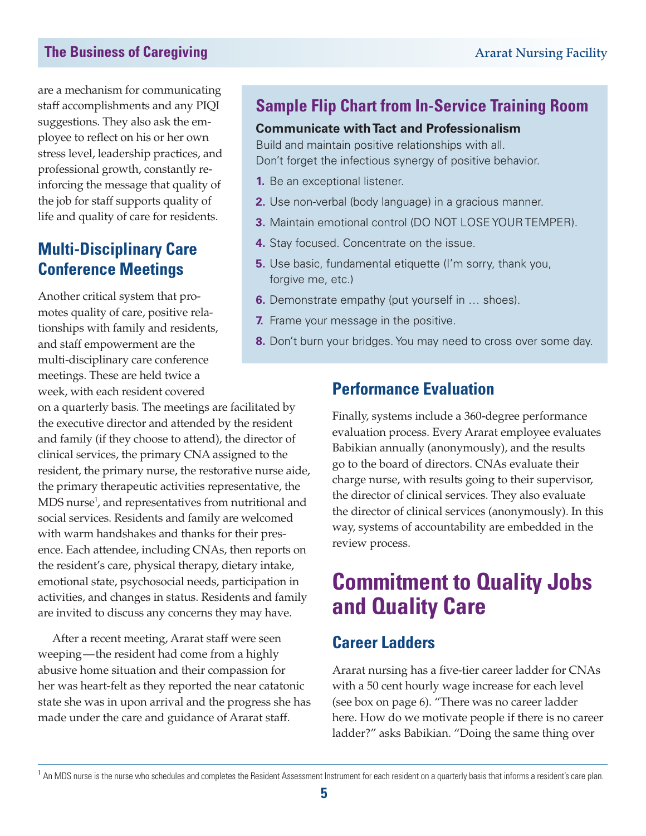are a mechanism for communicating staff accomplishments and any PIQI suggestions. They also ask the employee to reflect on his or her own stress level, leadership practices, and professional growth, constantly reinforcing the message that quality of the job for staff supports quality of life and quality of care for residents.

#### **Multi-Disciplinary Care Conference Meetings**

Another critical system that promotes quality of care, positive relationships with family and residents, and staff empowerment are the multi-disciplinary care conference meetings. These are held twice a week, with each resident covered

on a quarterly basis. The meetings are facilitated by the executive director and attended by the resident and family (if they choose to attend), the director of clinical services, the primary CNA assigned to the resident, the primary nurse, the restorative nurse aide, the primary therapeutic activities representative, the MDS nurse<sup>1</sup>, and representatives from nutritional and social services. Residents and family are welcomed with warm handshakes and thanks for their presence. Each attendee, including CNAs, then reports on the resident's care, physical therapy, dietary intake, emotional state, psychosocial needs, participation in activities, and changes in status. Residents and family are invited to discuss any concerns they may have.

After a recent meeting, Ararat staff were seen weeping—the resident had come from a highly abusive home situation and their compassion for her was heart-felt as they reported the near catatonic state she was in upon arrival and the progress she has made under the care and guidance of Ararat staff.

#### **Sample Flip Chart from In-Service Training Room**

#### **Communicate with Tact and Professionalism**

Build and maintain positive relationships with all. Don't forget the infectious synergy of positive behavior.

- **1.** Be an exceptional listener.
- **2.** Use non-verbal (body language) in a gracious manner.
- **3.** Maintain emotional control (DO NOT LOSE YOUR TEMPER).
- **4.** Stay focused. Concentrate on the issue.
- **5.** Use basic, fundamental etiquette (I'm sorry, thank you, forgive me, etc.)
- **6.** Demonstrate empathy (put yourself in … shoes).
- **7.** Frame your message in the positive.
- **8.** Don't burn your bridges. You may need to cross over some day.

#### **Performance Evaluation**

Finally, systems include a 360-degree performance evaluation process. Every Ararat employee evaluates Babikian annually (anonymously), and the results go to the board of directors. CNAs evaluate their charge nurse, with results going to their supervisor, the director of clinical services. They also evaluate the director of clinical services (anonymously). In this way, systems of accountability are embedded in the review process.

## **Commitment to Quality Jobs and Quality Care**

#### **Career Ladders**

Ararat nursing has a five-tier career ladder for CNAs with a 50 cent hourly wage increase for each level (see box on page 6). "There was no career ladder here. How do we motivate people if there is no career ladder?" asks Babikian. "Doing the same thing over

<sup>&</sup>lt;sup>1</sup> An MDS nurse is the nurse who schedules and completes the Resident Assessment Instrument for each resident on a quarterly basis that informs a resident's care plan.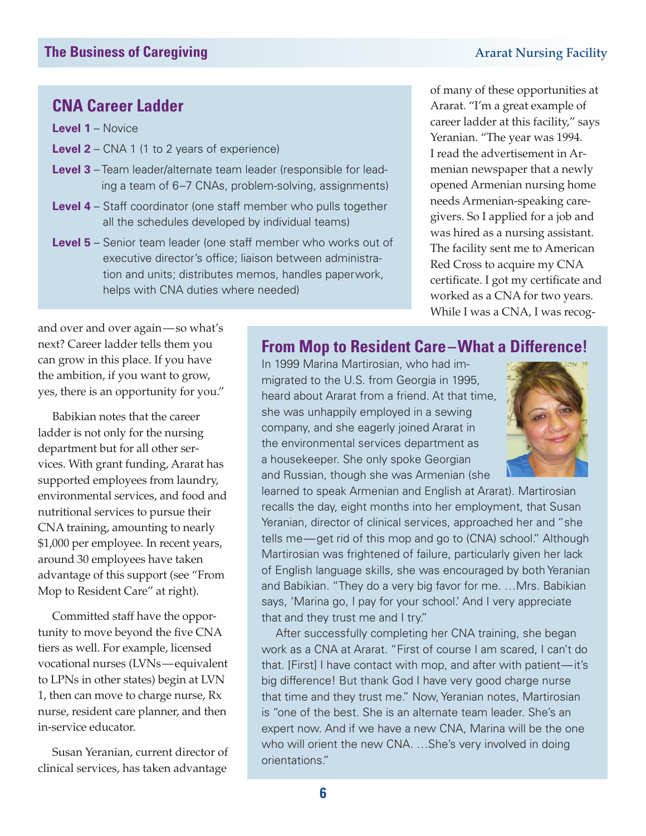#### **CNA Career Ladder**

**Level 1** – Novice

- **Level 2** CNA 1 (1 to 2 years of experience)
- **Level 3** Team leader/alternate team leader (responsible for leading a team of 6–7 CNAs, problem-solving, assignments)
- **Level 4** Staff coordinator (one staff member who pulls together all the schedules developed by individual teams)
- **Level 5** Senior team leader (one staff member who works out of executive director's office; liaison between administration and units; distributes memos, handles paperwork, helps with CNA duties where needed)

of many of these opportunities at Ararat. "I'm a great example of career ladder at this facility," says Yeranian. "The year was 1994. I read the advertisement in Armenian newspaper that a newly opened Armenian nursing home needs Armenian-speaking caregivers. So I applied for a job and was hired as a nursing assistant. The facility sent me to American Red Cross to acquire my CNA certificate. I got my certificate and worked as a CNA for two years. While I was a CNA, I was recog-

and over and over again—so what's next? Career ladder tells them you can grow in this place. If you have the ambition, if you want to grow, yes, there is an opportunity for you."

Babikian notes that the career ladder is not only for the nursing department but for all other services. With grant funding, Ararat has supported employees from laundry, environmental services, and food and nutritional services to pursue their CNA training, amounting to nearly \$1,000 per employee. In recent years, around 30 employees have taken advantage of this support (see "From Mop to Resident Care" at right).

Committed staff have the opportunity to move beyond the five CNA tiers as well. For example, licensed vocational nurses (LVNs—equivalent to LPNs in other states) begin at LVN 1, then can move to charge nurse, Rx nurse, resident care planner, and then in-service educator.

Susan Yeranian, current director of clinical services, has taken advantage

#### **From Mop to Resident Care–What a Difference!**

In 1999 Marina Martirosian, who had immigrated to the U.S. from Georgia in 1995, heard about Ararat from a friend. At that time, she was unhappily employed in a sewing company, and she eagerly joined Ararat in the environmental services department as a housekeeper. She only spoke Georgian and Russian, though she was Armenian (she



learned to speak Armenian and English at Ararat). Martirosian recalls the day, eight months into her employment, that Susan Yeranian, director of clinical services, approached her and "she tells me—get rid of this mop and go to (CNA) school." Although Martirosian was frightened of failure, particularly given her lack of English language skills, she was encouraged by both Yeranian and Babikian. "They do a very big favor for me. …Mrs. Babikian says, 'Marina go, I pay for your school'. And I very appreciate that and they trust me and I try."

After successfully completing her CNA training, she began work as a CNA at Ararat. "First of course I am scared, I can't do that. [First] I have contact with mop, and after with patient—it's big difference! But thank God I have very good charge nurse that time and they trust me." Now, Yeranian notes, Martirosian is "one of the best. She is an alternate team leader. She's an expert now. And if we have a new CNA, Marina will be the one who will orient the new CNA. …She's very involved in doing orientations."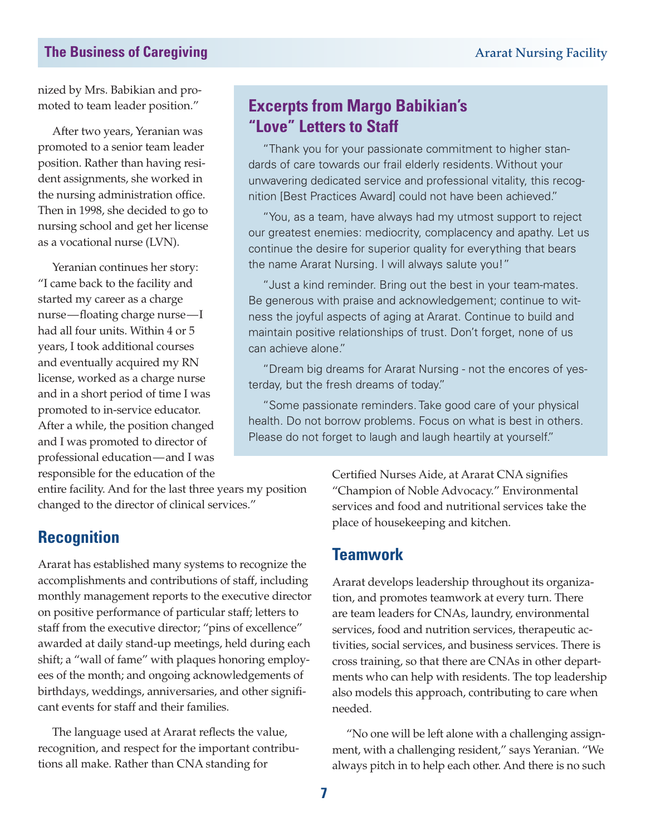nized by Mrs. Babikian and promoted to team leader position."

After two years, Yeranian was promoted to a senior team leader position. Rather than having resident assignments, she worked in the nursing administration office. Then in 1998, she decided to go to nursing school and get her license as a vocational nurse (LVN).

Yeranian continues her story: "I came back to the facility and started my career as a charge nurse—floating charge nurse—I had all four units. Within 4 or 5 years, I took additional courses and eventually acquired my RN license, worked as a charge nurse and in a short period of time I was promoted to in-service educator. After a while, the position changed and I was promoted to director of professional education—and I was responsible for the education of the

#### **Excerpts from Margo Babikian's "Love" Letters to Staff**

"Thank you for your passionate commitment to higher standards of care towards our frail elderly residents. Without your unwavering dedicated service and professional vitality, this recognition [Best Practices Award] could not have been achieved."

"You, as a team, have always had my utmost support to reject our greatest enemies: mediocrity, complacency and apathy. Let us continue the desire for superior quality for everything that bears the name Ararat Nursing. I will always salute you!"

"Just a kind reminder. Bring out the best in your team-mates. Be generous with praise and acknowledgement; continue to witness the joyful aspects of aging at Ararat. Continue to build and maintain positive relationships of trust. Don't forget, none of us can achieve alone."

"Dream big dreams for Ararat Nursing - not the encores of yesterday, but the fresh dreams of today."

"Some passionate reminders. Take good care of your physical health. Do not borrow problems. Focus on what is best in others. Please do not forget to laugh and laugh heartily at yourself."

entire facility. And for the last three years my position changed to the director of clinical services."

#### **Recognition**

Ararat has established many systems to recognize the accomplishments and contributions of staff, including monthly management reports to the executive director on positive performance of particular staff; letters to staff from the executive director; "pins of excellence" awarded at daily stand-up meetings, held during each shift; a "wall of fame" with plaques honoring employees of the month; and ongoing acknowledgements of birthdays, weddings, anniversaries, and other significant events for staff and their families.

The language used at Ararat reflects the value, recognition, and respect for the important contributions all make. Rather than CNA standing for

Certified Nurses Aide, at Ararat CNA signifies "Champion of Noble Advocacy." Environmental services and food and nutritional services take the place of housekeeping and kitchen.

#### **Teamwork**

Ararat develops leadership throughout its organization, and promotes teamwork at every turn. There are team leaders for CNAs, laundry, environmental services, food and nutrition services, therapeutic activities, social services, and business services. There is cross training, so that there are CNAs in other departments who can help with residents. The top leadership also models this approach, contributing to care when needed.

"No one will be left alone with a challenging assignment, with a challenging resident," says Yeranian. "We always pitch in to help each other. And there is no such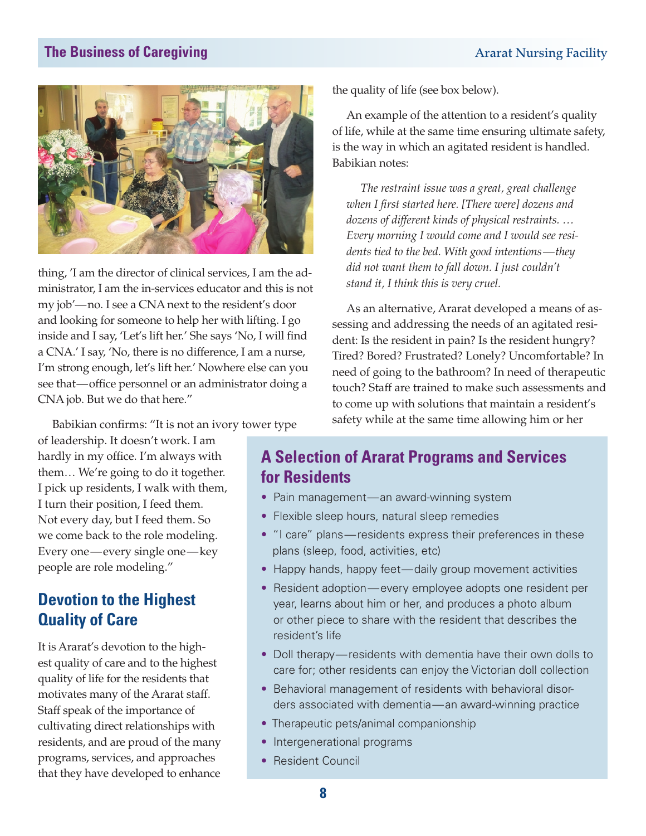

thing, 'I am the director of clinical services, I am the administrator, I am the in-services educator and this is not my job'—no. I see a CNA next to the resident's door and looking for someone to help her with lifting. I go inside and I say, 'Let's lift her.' She says 'No, I will find a CNA.' I say, 'No, there is no difference, I am a nurse, I'm strong enough, let's lift her.' Nowhere else can you see that—office personnel or an administrator doing a CNA job. But we do that here."

the quality of life (see box below).

An example of the attention to a resident's quality of life, while at the same time ensuring ultimate safety, is the way in which an agitated resident is handled. Babikian notes:

*The restraint issue was a great, great challenge when I first started here. [There were] dozens and dozens of different kinds of physical restraints. … Every morning I would come and I would see residents tied to the bed. With good intentions—they did not want them to fall down. I just couldn't stand it, I think this is very cruel.*

As an alternative, Ararat developed a means of assessing and addressing the needs of an agitated resident: Is the resident in pain? Is the resident hungry? Tired? Bored? Frustrated? Lonely? Uncomfortable? In need of going to the bathroom? In need of therapeutic touch? Staff are trained to make such assessments and to come up with solutions that maintain a resident's safety while at the same time allowing him or her

Babikian confirms: "It is not an ivory tower type

of leadership. It doesn't work. I am hardly in my office. I'm always with them… We're going to do it together. I pick up residents, I walk with them, I turn their position, I feed them. Not every day, but I feed them. So we come back to the role modeling. Every one—every single one—key people are role modeling."

#### **Devotion to the Highest Quality of Care**

It is Ararat's devotion to the highest quality of care and to the highest quality of life for the residents that motivates many of the Ararat staff. Staff speak of the importance of cultivating direct relationships with residents, and are proud of the many programs, services, and approaches that they have developed to enhance

#### **A Selection of Ararat Programs and Services for Residents**

- Pain management—an award-winning system
- Flexible sleep hours, natural sleep remedies
- "I care" plans—residents express their preferences in these plans (sleep, food, activities, etc)
- Happy hands, happy feet—daily group movement activities
- Resident adoption—every employee adopts one resident per year, learns about him or her, and produces a photo album or other piece to share with the resident that describes the resident's life
- Doll therapy—residents with dementia have their own dolls to care for; other residents can enjoy the Victorian doll collection
- Behavioral management of residents with behavioral disorders associated with dementia—an award-winning practice
- Therapeutic pets/animal companionship
- Intergenerational programs
- Resident Council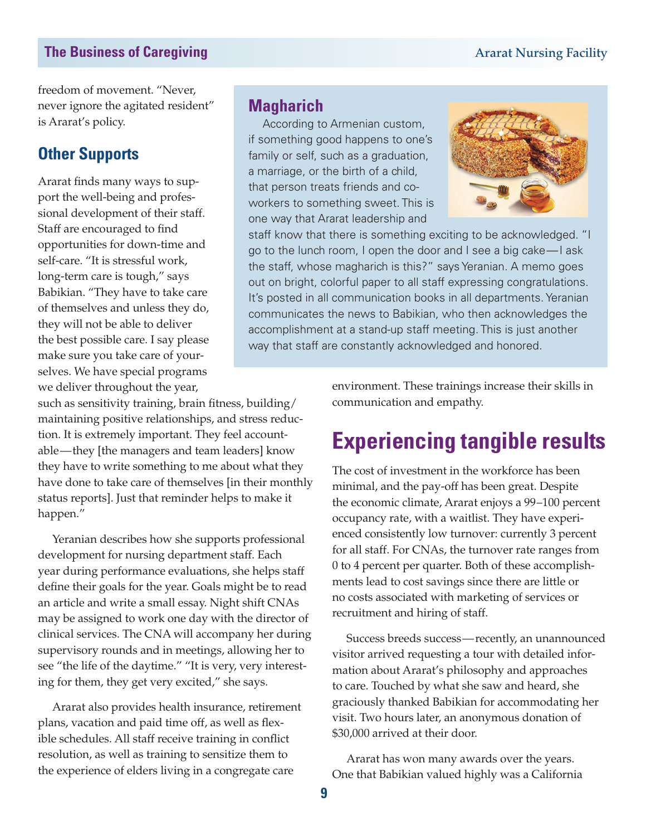freedom of movement. "Never, never ignore the agitated resident" is Ararat's policy.

#### **Other Supports**

Ararat finds many ways to support the well-being and professional development of their staff. Staff are encouraged to find opportunities for down-time and self-care. "It is stressful work, long-term care is tough," says Babikian. "They have to take care of themselves and unless they do, they will not be able to deliver the best possible care. I say please make sure you take care of yourselves. We have special programs we deliver throughout the year,

#### **Magharich**

According to Armenian custom, if something good happens to one's family or self, such as a graduation, a marriage, or the birth of a child, that person treats friends and coworkers to something sweet. This is one way that Ararat leadership and



staff know that there is something exciting to be acknowledged. "I go to the lunch room, I open the door and I see a big cake—I ask the staff, whose magharich is this?" says Yeranian. A memo goes out on bright, colorful paper to all staff expressing congratulations. It's posted in all communication books in all departments. Yeranian communicates the news to Babikian, who then acknowledges the accomplishment at a stand-up staff meeting. This is just another way that staff are constantly acknowledged and honored.

such as sensitivity training, brain fitness, building/ maintaining positive relationships, and stress reduction. It is extremely important. They feel accountable—they [the managers and team leaders] know they have to write something to me about what they have done to take care of themselves [in their monthly status reports]. Just that reminder helps to make it happen."

Yeranian describes how she supports professional development for nursing department staff. Each year during performance evaluations, she helps staff define their goals for the year. Goals might be to read an article and write a small essay. Night shift CNAs may be assigned to work one day with the director of clinical services. The CNA will accompany her during supervisory rounds and in meetings, allowing her to see "the life of the daytime." "It is very, very interesting for them, they get very excited," she says.

Ararat also provides health insurance, retirement plans, vacation and paid time off, as well as flexible schedules. All staff receive training in conflict resolution, as well as training to sensitize them to the experience of elders living in a congregate care

environment. These trainings increase their skills in communication and empathy.

### **Experiencing tangible results**

The cost of investment in the workforce has been minimal, and the pay-off has been great. Despite the economic climate, Ararat enjoys a 99–100 percent occupancy rate, with a waitlist. They have experienced consistently low turnover: currently 3 percent for all staff. For CNAs, the turnover rate ranges from 0 to 4 percent per quarter. Both of these accomplishments lead to cost savings since there are little or no costs associated with marketing of services or recruitment and hiring of staff.

Success breeds success—recently, an unannounced visitor arrived requesting a tour with detailed information about Ararat's philosophy and approaches to care. Touched by what she saw and heard, she graciously thanked Babikian for accommodating her visit. Two hours later, an anonymous donation of \$30,000 arrived at their door.

Ararat has won many awards over the years. One that Babikian valued highly was a California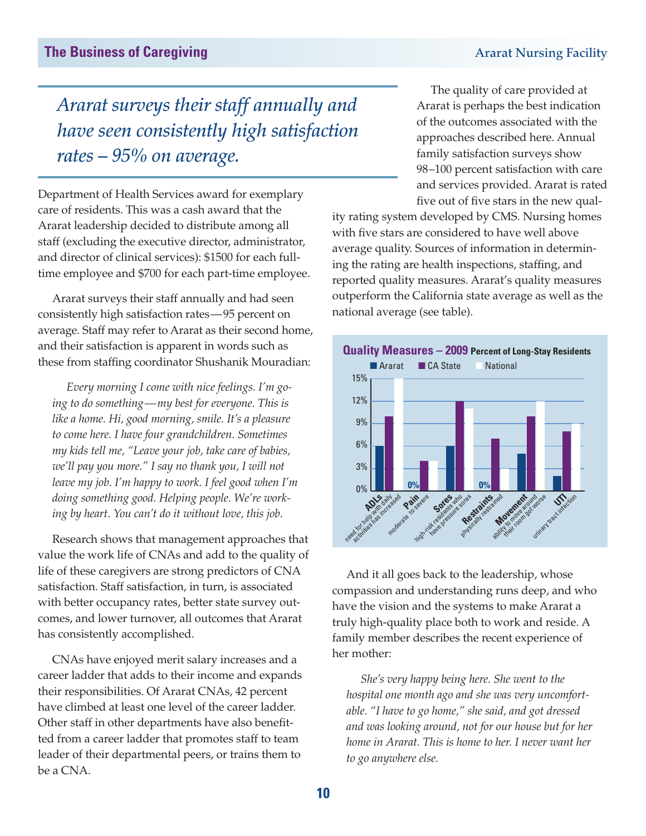*Ararat surveys their staff annually and have seen consistently high satisfaction rates – 95% on average.*

Department of Health Services award for exemplary care of residents. This was a cash award that the Ararat leadership decided to distribute among all staff (excluding the executive director, administrator, and director of clinical services): \$1500 for each fulltime employee and \$700 for each part-time employee.

Ararat surveys their staff annually and had seen consistently high satisfaction rates—95 percent on average. Staff may refer to Ararat as their second home, and their satisfaction is apparent in words such as these from staffing coordinator Shushanik Mouradian:

*Every morning I come with nice feelings. I'm going to do something—my best for everyone. This is like a home. Hi, good morning, smile. It's a pleasure to come here. I have four grandchildren. Sometimes my kids tell me, "Leave your job, take care of babies, we'll pay you more." I say no thank you, I will not leave my job. I'm happy to work. I feel good when I'm doing something good. Helping people. We're working by heart. You can't do it without love, this job.* 

Research shows that management approaches that value the work life of CNAs and add to the quality of life of these caregivers are strong predictors of CNA satisfaction. Staff satisfaction, in turn, is associated with better occupancy rates, better state survey outcomes, and lower turnover, all outcomes that Ararat has consistently accomplished.

CNAs have enjoyed merit salary increases and a career ladder that adds to their income and expands their responsibilities. Of Ararat CNAs, 42 percent have climbed at least one level of the career ladder. Other staff in other departments have also benefitted from a career ladder that promotes staff to team leader of their departmental peers, or trains them to be a CNA.

The quality of care provided at Ararat is perhaps the best indication of the outcomes associated with the approaches described here. Annual family satisfaction surveys show 98–100 percent satisfaction with care and services provided. Ararat is rated five out of five stars in the new qual-

ity rating system developed by CMS. Nursing homes with five stars are considered to have well above average quality. Sources of information in determining the rating are health inspections, staffing, and reported quality measures. Ararat's quality measures outperform the California state average as well as the national average (see table).



And it all goes back to the leadership, whose compassion and understanding runs deep, and who have the vision and the systems to make Ararat a truly high-quality place both to work and reside. A family member describes the recent experience of her mother:

*She's very happy being here. She went to the hospital one month ago and she was very uncomfortable. "I have to go home," she said, and got dressed and was looking around, not for our house but for her home in Ararat. This is home to her. I never want her to go anywhere else.*